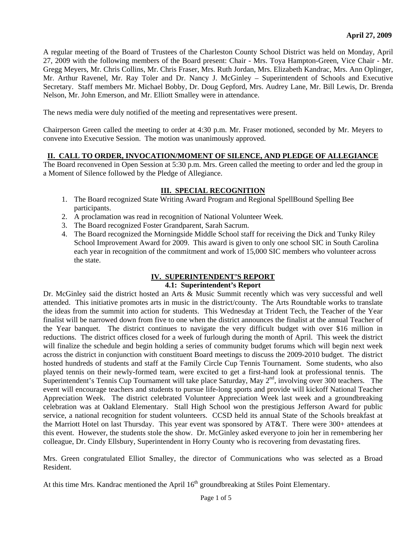A regular meeting of the Board of Trustees of the Charleston County School District was held on Monday, April 27, 2009 with the following members of the Board present: Chair - Mrs. Toya Hampton-Green, Vice Chair - Mr. Gregg Meyers, Mr. Chris Collins, Mr. Chris Fraser, Mrs. Ruth Jordan, Mrs. Elizabeth Kandrac, Mrs. Ann Oplinger, Mr. Arthur Ravenel, Mr. Ray Toler and Dr. Nancy J. McGinley – Superintendent of Schools and Executive Secretary. Staff members Mr. Michael Bobby, Dr. Doug Gepford, Mrs. Audrey Lane, Mr. Bill Lewis, Dr. Brenda Nelson, Mr. John Emerson, and Mr. Elliott Smalley were in attendance.

The news media were duly notified of the meeting and representatives were present.

Chairperson Green called the meeting to order at 4:30 p.m. Mr. Fraser motioned, seconded by Mr. Meyers to convene into Executive Session. The motion was unanimously approved.

### **II. CALL TO ORDER, INVOCATION/MOMENT OF SILENCE, AND PLEDGE OF ALLEGIANCE**

The Board reconvened in Open Session at 5:30 p.m. Mrs. Green called the meeting to order and led the group in a Moment of Silence followed by the Pledge of Allegiance.

### **III. SPECIAL RECOGNITION**

- 1. The Board recognized State Writing Award Program and Regional SpellBound Spelling Bee participants.
- 2. A proclamation was read in recognition of National Volunteer Week.
- 3. The Board recognized Foster Grandparent, Sarah Sacrum.
- 4. The Board recognized the Morningside Middle School staff for receiving the Dick and Tunky Riley School Improvement Award for 2009. This award is given to only one school SIC in South Carolina each year in recognition of the commitment and work of 15,000 SIC members who volunteer across the state.

#### **IV. SUPERINTENDENT'S REPORT 4.1: Superintendent's Report**

Dr. McGinley said the district hosted an Arts & Music Summit recently which was very successful and well attended. This initiative promotes arts in music in the district/county. The Arts Roundtable works to translate the ideas from the summit into action for students. This Wednesday at Trident Tech, the Teacher of the Year finalist will be narrowed down from five to one when the district announces the finalist at the annual Teacher of the Year banquet. The district continues to navigate the very difficult budget with over \$16 million in reductions. The district offices closed for a week of furlough during the month of April. This week the district will finalize the schedule and begin holding a series of community budget forums which will begin next week across the district in conjunction with constituent Board meetings to discuss the 2009-2010 budget. The district hosted hundreds of students and staff at the Family Circle Cup Tennis Tournament. Some students, who also played tennis on their newly-formed team, were excited to get a first-hand look at professional tennis. The Superintendent's Tennis Cup Tournament will take place Saturday, May 2<sup>nd</sup>, involving over 300 teachers. The event will encourage teachers and students to pursue life-long sports and provide will kickoff National Teacher Appreciation Week. The district celebrated Volunteer Appreciation Week last week and a groundbreaking celebration was at Oakland Elementary. Stall High School won the prestigious Jefferson Award for public service, a national recognition for student volunteers. CCSD held its annual State of the Schools breakfast at the Marriott Hotel on last Thursday. This year event was sponsored by AT&T. There were 300+ attendees at this event. However, the students stole the show. Dr. McGinley asked everyone to join her in remembering her colleague, Dr. Cindy Ellsbury, Superintendent in Horry County who is recovering from devastating fires.

Mrs. Green congratulated Elliot Smalley, the director of Communications who was selected as a Broad Resident.

At this time Mrs. Kandrac mentioned the April  $16<sup>th</sup>$  groundbreaking at Stiles Point Elementary.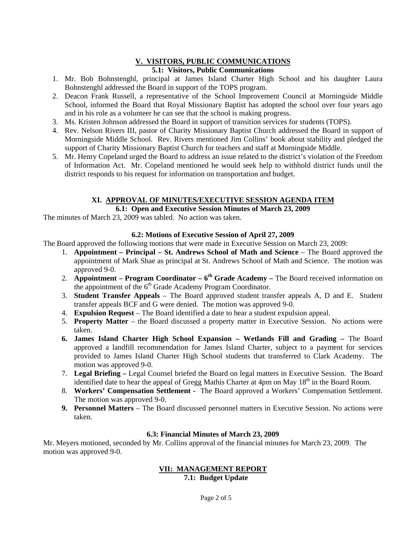# **V. VISITORS, PUBLIC COMMUNICATIONS**

## **5.1: Visitors, Public Communications**

- 1. Mr. Bob Bohnstenghl, principal at James Island Charter High School and his daughter Laura Bohnstenghl addressed the Board in support of the TOPS program.
- 2. Deacon Frank Russell, a representative of the School Improvement Council at Morningside Middle School, informed the Board that Royal Missionary Baptist has adopted the school over four years ago and in his role as a volunteer he can see that the school is making progress.
- 3. Ms. Kristen Johnson addressed the Board in support of transition services for students (TOPS).
- 4. Rev. Nelson Rivers III, pastor of Charity Missionary Baptist Church addressed the Board in support of Morningside Middle School. Rev. Rivers mentioned Jim Collins' book about stability and pledged the support of Charity Missionary Baptist Church for teachers and staff at Morningside Middle.
- 5. Mr. Henry Copeland urged the Board to address an issue related to the district's violation of the Freedom of Information Act. Mr. Copeland mentioned he would seek help to withhold district funds until the district responds to his request for information on transportation and budget.

# **XI. APPROVAL OF MINUTES/EXECUTIVE SESSION AGENDA ITEM**

### **6.1: Open and Executive Session Minutes of March 23, 2009**

The minutes of March 23, 2009 was tabled. No action was taken.

### **6.2: Motions of Executive Session of April 27, 2009**

The Board approved the following motions that were made in Executive Session on March 23, 2009:

- 1. **Appointment Principal St. Andrews School of Math and Science** The Board approved the appointment of Mark Shae as principal at St. Andrews School of Math and Science. The motion was approved 9-0.
- 2. **Appointment Program Coordinator 6th Grade Academy** The Board received information on the appointment of the  $6<sup>th</sup>$  Grade Academy Program Coordinator.
- 3. **Student Transfer Appeals** The Board approved student transfer appeals A, D and E. Student transfer appeals BCF and G were denied. The motion was approved 9-0.
- 4. **Expulsion Request** The Board identified a date to hear a student expulsion appeal.
- 5. **Property Matter** the Board discussed a property matter in Executive Session. No actions were taken.
- **6. James Island Charter High School Expansion Wetlands Fill and Grading** The Board approved a landfill recommendation for James Island Charter, subject to a payment for services provided to James Island Charter High School students that transferred to Clark Academy. The motion was approved 9-0.
- 7. **Legal Briefing** Legal Counsel briefed the Board on legal matters in Executive Session. The Board identified date to hear the appeal of Gregg Mathis Charter at 4pm on May 18<sup>th</sup> in the Board Room.
- 8. **Workers' Compensation Settlement** The Board approved a Workers' Compensation Settlement. The motion was approved 9-0.
- **9. Personnel Matters**  The Board discussed personnel matters in Executive Session. No actions were taken.

### **6.3: Financial Minutes of March 23, 2009**

Mr. Meyers motioned, seconded by Mr. Collins approval of the financial minutes for March 23, 2009. The motion was approved 9-0.

#### **VII: MANAGEMENT REPORT 7.1: Budget Update**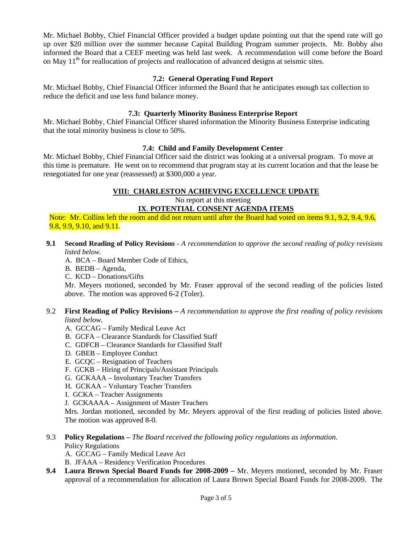Mr. Michael Bobby, Chief Financial Officer provided a budget update pointing out that the spend rate will go up over \$20 million over the summer because Capital Building Program summer projects. Mr. Bobby also informed the Board that a CEEF meeting was held last week. A recommendation will come before the Board on May  $11<sup>th</sup>$  for reallocation of projects and reallocation of advanced designs at seismic sites.

### **7.2: General Operating Fund Report**

Mr. Michael Bobby, Chief Financial Officer informed the Board that he anticipates enough tax collection to reduce the deficit and use less fund balance money.

#### **7.3: Quarterly Minority Business Enterprise Report**

Mr. Michael Bobby, Chief Financial Officer shared information the Minority Business Enterprise indicating that the total minority business is close to 50%.

#### **7.4: Child and Family Development Center**

Mr. Michael Bobby, Chief Financial Officer said the district was looking at a universal program. To move at this time is premature. He went on to recommend that program stay at its current location and that the lease be renegotiated for one year (reassessed) at \$300,000 a year.

#### **VIII: CHARLESTON ACHIEVING EXCELLENCE UPDATE**

No report at this meeting

**IX**. **POTENTIAL CONSENT AGENDA ITEMS**

Note: Mr. Collins left the room and did not return until after the Board had voted on items 9.1, 9.2, 9.4, 9.6, 9.8, 9.9, 9.10, and 9.11.

- **9.1 Second Reading of Policy Revisions** *A recommendation to approve the second reading of policy revisions listed below.*
	- A. BCA Board Member Code of Ethics,

B. BEDB – Agenda,

C. KCD – Donations/Gifts

Mr. Meyers motioned, seconded by Mr. Fraser approval of the second reading of the policies listed above. The motion was approved 6-2 (Toler).

#### 9.2 **First Reading of Policy Revisions –** *A recommendation to approve the first reading of policy revisions listed below.*

- A. GCCAG Family Medical Leave Act
- B. GCFA Clearance Standards for Classified Staff
- C. GDFCB Clearance Standards for Classified Staff
- D. GBEB Employee Conduct
- E. GCQC Resignation of Teachers
- F. GCKB Hiring of Principals/Assistant Principals
- G. GCKAAA Involuntary Teacher Transfers
- H. GCKAA Voluntary Teacher Transfers
- I. GCKA Teacher Assignments
- J. GCKAAAA Assignment of Master Teachers

Mrs. Jordan motioned, seconded by Mr. Meyers approval of the first reading of policies listed above. The motion was approved 8-0.

- 9.3 **Policy Regulations** *The Board received the following policy regulations as information.* Policy Regulations
	- A. GCCAG Family Medical Leave Act
	- B. JFAAA Residency Verification Procedures
- **9.4 Laura Brown Special Board Funds for 2008-2009** Mr. Meyers motioned, seconded by Mr. Fraser approval of a recommendation for allocation of Laura Brown Special Board Funds for 2008-2009. The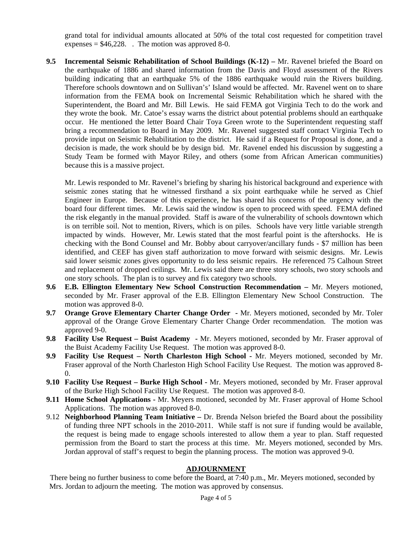grand total for individual amounts allocated at 50% of the total cost requested for competition travel expenses  $= $46,228$ . The motion was approved 8-0.

**9.5 Incremental Seismic Rehabilitation of School Buildings (K-12) –** Mr. Ravenel briefed the Board on the earthquake of 1886 and shared information from the Davis and Floyd assessment of the Rivers building indicating that an earthquake 5% of the 1886 earthquake would ruin the Rivers building. Therefore schools downtown and on Sullivan's' Island would be affected. Mr. Ravenel went on to share information from the FEMA book on Incremental Seismic Rehabilitation which he shared with the Superintendent, the Board and Mr. Bill Lewis. He said FEMA got Virginia Tech to do the work and they wrote the book. Mr. Catoe's essay warns the district about potential problems should an earthquake occur. He mentioned the letter Board Chair Toya Green wrote to the Superintendent requesting staff bring a recommendation to Board in May 2009. Mr. Ravenel suggested staff contact Virginia Tech to provide input on Seismic Rehabilitation to the district. He said if a Request for Proposal is done, and a decision is made, the work should be by design bid. Mr. Ravenel ended his discussion by suggesting a Study Team be formed with Mayor Riley, and others (some from African American communities) because this is a massive project.

Mr. Lewis responded to Mr. Ravenel's briefing by sharing his historical background and experience with seismic zones stating that he witnessed firsthand a six point earthquake while he served as Chief Engineer in Europe. Because of this experience, he has shared his concerns of the urgency with the board four different times. Mr. Lewis said the window is open to proceed with speed. FEMA defined the risk elegantly in the manual provided. Staff is aware of the vulnerability of schools downtown which is on terrible soil. Not to mention, Rivers, which is on piles. Schools have very little variable strength impacted by winds. However, Mr. Lewis stated that the most fearful point is the aftershocks. He is checking with the Bond Counsel and Mr. Bobby about carryover/ancillary funds - \$7 million has been identified, and CEEF has given staff authorization to move forward with seismic designs. Mr. Lewis said lower seismic zones gives opportunity to do less seismic repairs. He referenced 75 Calhoun Street and replacement of dropped ceilings. Mr. Lewis said there are three story schools, two story schools and one story schools. The plan is to survey and fix category two schools.

- **9.6 E.B. Ellington Elementary New School Construction Recommendation** Mr. Meyers motioned, seconded by Mr. Fraser approval of the E.B. Ellington Elementary New School Construction. The motion was approved 8-0.
- **9.7 Orange Grove Elementary Charter Change Order** Mr. Meyers motioned, seconded by Mr. Toler approval of the Orange Grove Elementary Charter Change Order recommendation. The motion was approved 9-0.
- **9.8 Facility Use Request Buist Academy** Mr. Meyers motioned, seconded by Mr. Fraser approval of the Buist Academy Facility Use Request. The motion was approved 8-0.
- **9.9 Facility Use Request North Charleston High School** Mr. Meyers motioned, seconded by Mr. Fraser approval of the North Charleston High School Facility Use Request. The motion was approved 8- 0.
- **9.10 Facility Use Request Burke High School -** Mr. Meyers motioned, seconded by Mr. Fraser approval of the Burke High School Facility Use Request. The motion was approved 8-0.
- **9.11 Home School Applications** Mr. Meyers motioned, seconded by Mr. Fraser approval of Home School Applications. The motion was approved 8-0.
- 9.12 **Neighborhood Planning Team Initiative** Dr. Brenda Nelson briefed the Board about the possibility of funding three NPT schools in the 2010-2011. While staff is not sure if funding would be available, the request is being made to engage schools interested to allow them a year to plan. Staff requested permission from the Board to start the process at this time. Mr. Meyers motioned, seconded by Mrs. Jordan approval of staff's request to begin the planning process. The motion was approved 9-0.

#### **ADJOURNMENT**

There being no further business to come before the Board, at 7:40 p.m., Mr. Meyers motioned, seconded by Mrs. Jordan to adjourn the meeting. The motion was approved by consensus.